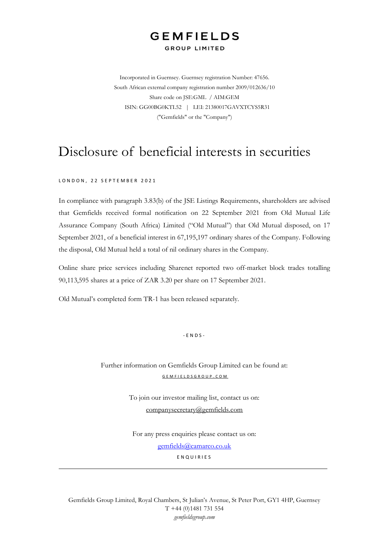## **GEMFIELDS GROUP LIMITED**

Incorporated in Guernsey. Guernsey registration Number: 47656. South African external company registration number 2009/012636/10 Share code on JSE:GML / AIM:GEM ISIN: GG00BG0KTL52 | LEI: 21380017GAVXTCYS5R31 ("Gemfields" or the "Company")

# Disclosure of beneficial interests in securities

#### LONDON, 22 SEPTEMBER 2021

In compliance with paragraph 3.83(b) of the JSE Listings Requirements, shareholders are advised that Gemfields received formal notification on 22 September 2021 from Old Mutual Life Assurance Company (South Africa) Limited ("Old Mutual") that Old Mutual disposed, on 17 September 2021, of a beneficial interest in 67,195,197 ordinary shares of the Company. Following the disposal, Old Mutual held a total of nil ordinary shares in the Company.

Online share price services including Sharenet reported two off-market block trades totalling 90,113,595 shares at a price of ZAR 3.20 per share on 17 September 2021.

Old Mutual's completed form TR-1 has been released separately.

 $-$  F N D S  $-$ 

Further information on Gemfields Group Limited can be found at: [G E M F I E L D S G R O U P . C O M](http://www.gemfieldsgroup.com/)

> To join our investor mailing list, contact us on: [companysecretary@gemfields.com](mailto:companysecretary@gemfields.com)

For any press enquiries please contact us on: [gemfields@camarco.co.uk](mailto:gemfields@camarco.co.uk)

E N Q U I R I E S

Gemfields Group Limited, Royal Chambers, St Julian's Avenue, St Peter Port, GY1 4HP, Guernsey T +44 (0)1481 731 554 *gemfieldsgroup.com*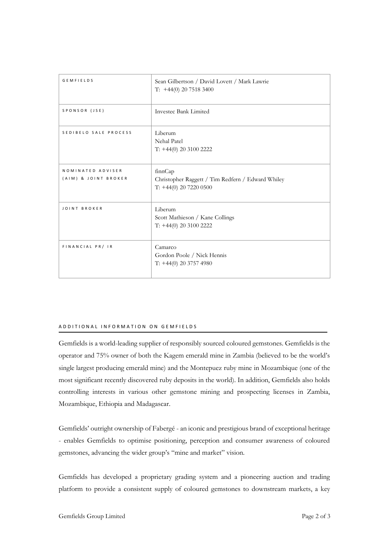| <b>GEMFIELDS</b>                          | Sean Gilbertson / David Lovett / Mark Lawrie<br>T: $+44(0)$ 20 7518 3400                 |
|-------------------------------------------|------------------------------------------------------------------------------------------|
| SPONSOR (JSE)                             | Investec Bank Limited                                                                    |
| SEDIBELO SALE PROCESS                     | Liberum<br>Nehal Patel<br>T: +44(0) 20 3100 2222                                         |
| NOMINATED ADVISER<br>(AIM) & JOINT BROKER | finnCap<br>Christopher Raggett / Tim Redfern / Edward Whiley<br>$T: +44(0)$ 20 7220 0500 |
| JOINT BROKER                              | Liberum<br>Scott Mathieson / Kane Collings<br>$T: +44(0) 20 3100 2222$                   |
| FINANCIAL PR/ IR                          | Camarco<br>Gordon Poole / Nick Hennis<br>$T: +44(0)$ 20 3757 4980                        |

#### A D D I T I O N A L I N F O R M A T I O N O N G E M F I E L D S

Gemfields is a world-leading supplier of responsibly sourced coloured gemstones. Gemfields is the operator and 75% owner of both the Kagem emerald mine in Zambia (believed to be the world's single largest producing emerald mine) and the Montepuez ruby mine in Mozambique (one of the most significant recently discovered ruby deposits in the world). In addition, Gemfields also holds controlling interests in various other gemstone mining and prospecting licenses in Zambia, Mozambique, Ethiopia and Madagascar.

Gemfields' outright ownership of Fabergé - an iconic and prestigious brand of exceptional heritage - enables Gemfields to optimise positioning, perception and consumer awareness of coloured gemstones, advancing the wider group's "mine and market" vision.

Gemfields has developed a proprietary grading system and a pioneering auction and trading platform to provide a consistent supply of coloured gemstones to downstream markets, a key